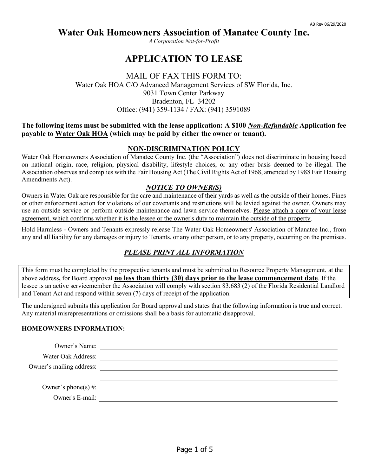*A Corporation Not-for-Profit*

# **APPLICATION TO LEASE**

### MAIL OF FAX THIS FORM TO: Water Oak HOA C/O Advanced Management Services of SW Florida, Inc. 9031 Town Center Parkway Bradenton, FL 34202 Office: (941) 359-1134 / FAX: (941) 3591089

### **The following items must be submitted with the lease application: A \$100** *Non-Refundable* **Application fee payable to Water Oak HOA (which may be paid by either the owner or tenant).**

### **NON-DISCRIMINATION POLICY**

Water Oak Homeowners Association of Manatee County Inc. (the "Association") does not discriminate in housing based on national origin, race, religion, physical disability, lifestyle choices, or any other basis deemed to be illegal. The Association observes and complies with the Fair Housing Act (The Civil Rights Act of 1968, amended by 1988 Fair Housing Amendments Act).

### *NOTICE TO OWNER(S)*

Owners in Water Oak are responsible for the care and maintenance of their yards as well as the outside of their homes. Fines or other enforcement action for violations of our covenants and restrictions will be levied against the owner. Owners may use an outside service or perform outside maintenance and lawn service themselves. Please attach a copy of your lease agreement, which confirms whether it is the lessee or the owner's duty to maintain the outside of the property.

Hold Harmless - Owners and Tenants expressly release The Water Oak Homeowners' Association of Manatee Inc., from any and all liability for any damages or injury to Tenants, or any other person, or to any property, occurring on the premises.

### *PLEASE PRINT ALL INFORMATION*

This form must be completed by the prospective tenants and must be submitted to Resource Property Management, at the above address**,** for Board approval **no less than thirty (30) days prior to the lease commencement date**. If the lessee is an active servicemember the Association will comply with section 83.683 (2) of the Florida Residential Landlord and Tenant Act and respond within seven (7) days of receipt of the application.

The undersigned submits this application for Board approval and states that the following information is true and correct. Any material misrepresentations or omissions shall be a basis for automatic disapproval.

### **HOMEOWNERS INFORMATION:**

| Owner's Name:            |  |
|--------------------------|--|
| Water Oak Address:       |  |
| Owner's mailing address: |  |
|                          |  |
| Owner's phone(s) $\#$ :  |  |
| Owner's E-mail:          |  |
|                          |  |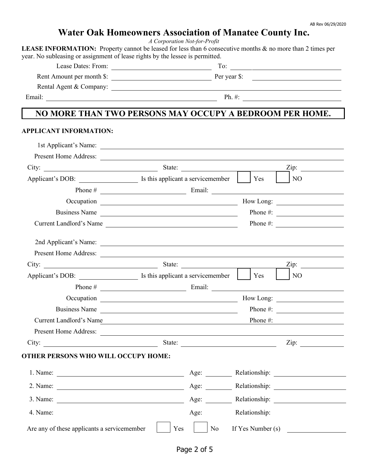# **Water Oak Homeowners Association of Manatee County Inc.**

*A Corporation Not-for-Profit*

LEASE INFORMATION: Property cannot be leased for less than 6 consecutive months & no more than 2 times per year. No subleasing or assignment of lease rights by the lessee is permitted.

Lease Dates: From: To:

Rent Amount per month \$: Per year \$:

Rental Agent & Company:

Email: Ph. #: Ph. #: Ph. #: Ph. #: Ph. #: Ph. #: Ph. #: Ph. #: Ph. #: Ph. #: Ph. #: Ph. #: Ph. #: Ph. #: Ph. #: Ph. #: Ph. #: Ph. #: Ph. #: Ph. #: Ph. #: Ph. #: Ph. #: Ph. #: Ph. #: Ph. #: Ph. #: Ph. #: Ph. #: Ph. #: Ph. #

# **NO MORE THAN TWO PERSONS MAY OCCUPY A BEDROOM PER HOME.**

#### **APPLICANT INFORMATION:**

|                                                             | 1st Applicant's Name:                                                       |                               |
|-------------------------------------------------------------|-----------------------------------------------------------------------------|-------------------------------|
|                                                             |                                                                             |                               |
|                                                             |                                                                             | Zip:                          |
|                                                             | Applicant's DOB: <u>Same and Services</u> Is this applicant a servicemember | $\vert$ Yes<br>N <sub>O</sub> |
|                                                             |                                                                             |                               |
|                                                             |                                                                             |                               |
|                                                             | Business Name                                                               |                               |
|                                                             | Current Landlord's Name                                                     | Phone #: $\qquad \qquad$      |
|                                                             |                                                                             |                               |
|                                                             |                                                                             |                               |
|                                                             |                                                                             | $\overline{\text{Zip: }}$     |
|                                                             |                                                                             | Yes<br>N <sub>O</sub>         |
|                                                             |                                                                             |                               |
|                                                             |                                                                             |                               |
|                                                             | Business Name                                                               | Phone #: $\qquad \qquad$      |
|                                                             | Current Landlord's Name Phone #:                                            |                               |
|                                                             |                                                                             |                               |
|                                                             | City: <u>Zip:</u> State: <u>State:</u> Zip: 21.                             |                               |
| <b>OTHER PERSONS WHO WILL OCCUPY HOME:</b>                  |                                                                             |                               |
|                                                             |                                                                             |                               |
| 2. Name: $\frac{1}{\sqrt{1-\frac{1}{2}} \cdot \frac{1}{2}}$ |                                                                             | Age: Relationship:            |
| 3. Name: $\frac{1}{\sqrt{1-\frac{1}{2}} \cdot \frac{1}{2}}$ |                                                                             | Age: Relationship:            |
| 4. Name:                                                    | Age: Relationship:                                                          |                               |
| Are any of these applicants a servicemember                 | N <sub>o</sub><br>Yes                                                       | If Yes Number (s)             |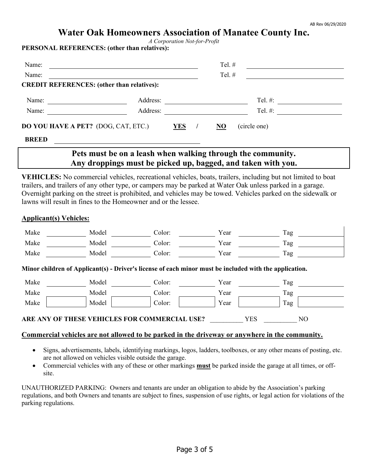*A Corporation Not-for-Profit*

**PERSONAL REFERENCES: (other than relatives):**

| Name:                                             |          |            | Tel. $#$       |              |  |
|---------------------------------------------------|----------|------------|----------------|--------------|--|
| Name:                                             |          |            | Tel. $#$       |              |  |
| <b>CREDIT REFERENCES:</b> (other than relatives): |          |            |                |              |  |
| Name:                                             | Address: |            |                | Tel. $#$ :   |  |
| Name:                                             | Address: |            |                | Tel. #:      |  |
| DO YOU HAVE A PET? (DOG, CAT, ETC.)               |          | <b>YES</b> | N <sub>O</sub> | (circle one) |  |
| <b>BREED</b>                                      |          |            |                |              |  |

# **Pets must be on a leash when walking through the community. Any droppings must be picked up, bagged, and taken with you.**

**VEHICLES:** No commercial vehicles, recreational vehicles, boats, trailers, including but not limited to boat trailers, and trailers of any other type, or campers may be parked at Water Oak unless parked in a garage. Overnight parking on the street is prohibited, and vehicles may be towed. Vehicles parked on the sidewalk or lawns will result in fines to the Homeowner and or the lessee.

#### **Applicant(s) Vehicles:**

| Make             | Model | Color:                                                                                                 | Year | Tag |     |
|------------------|-------|--------------------------------------------------------------------------------------------------------|------|-----|-----|
| Make             | Model | Color:                                                                                                 | Year | Tag |     |
| Make             | Model | Color:                                                                                                 | Year | Tag |     |
|                  |       | Minor children of Applicant(s) - Driver's license of each minor must be included with the application. |      |     |     |
| Make             | Model | Color:                                                                                                 | Year | Tag |     |
| Make             | Model | Color:                                                                                                 | Year | Tag |     |
| Make             | Model | Color:                                                                                                 | Year | Tag |     |
| <b>ARE ANY C</b> |       | <b>THESE VEHICLES FOR COMMERCIAL USE?</b>                                                              |      | YES | NO. |

#### **Commercial vehicles are not allowed to be parked in the driveway or anywhere in the community.**

- Signs, advertisements, labels, identifying markings, logos, ladders, toolboxes, or any other means of posting, etc. are not allowed on vehicles visible outside the garage.
- Commercial vehicles with any of these or other markings **must** be parked inside the garage at all times, or offsite.

UNAUTHORIZED PARKING: Owners and tenants are under an obligation to abide by the Association's parking regulations, and both Owners and tenants are subject to fines, suspension of use rights, or legal action for violations of the parking regulations.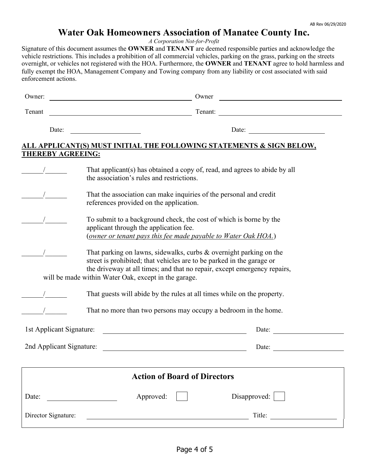*A Corporation Not-for-Profit*

Signature of this document assumes the **OWNER** and **TENANT** are deemed responsible parties and acknowledge the vehicle restrictions. This includes a prohibition of all commercial vehicles, parking on the grass, parking on the streets overnight, or vehicles not registered with the HOA. Furthermore, the **OWNER** and **TENANT** agree to hold harmless and fully exempt the HOA, Management Company and Towing company from any liability or cost associated with said enforcement actions.

| Owner:                   |                                                                                                                                                                                                                                                                                 | Owner                               |                                                                                 |
|--------------------------|---------------------------------------------------------------------------------------------------------------------------------------------------------------------------------------------------------------------------------------------------------------------------------|-------------------------------------|---------------------------------------------------------------------------------|
| Tenant                   | Tenant:<br><u> 1989 - Johann Barn, mars ann an t-Amhain Aonaich an t-Aonaich an t-Aonaich ann an t-Aonaich ann an t-Aonaich</u>                                                                                                                                                 |                                     |                                                                                 |
| Date:                    |                                                                                                                                                                                                                                                                                 |                                     | Date:                                                                           |
| <b>THEREBY AGREEING:</b> |                                                                                                                                                                                                                                                                                 |                                     | <u>ALL APPLICANT(S) MUST INITIAL THE FOLLOWING STATEMENTS &amp; SIGN BELOW,</u> |
|                          | That applicant(s) has obtained a copy of, read, and agrees to abide by all<br>the association's rules and restrictions.                                                                                                                                                         |                                     |                                                                                 |
|                          | That the association can make inquiries of the personal and credit<br>references provided on the application.                                                                                                                                                                   |                                     |                                                                                 |
|                          | To submit to a background check, the cost of which is borne by the<br>applicant through the application fee.<br>(owner or tenant pays this fee made payable to Water Oak HOA.)                                                                                                  |                                     |                                                                                 |
|                          | That parking on lawns, sidewalks, curbs & overnight parking on the<br>street is prohibited; that vehicles are to be parked in the garage or<br>the driveway at all times; and that no repair, except emergency repairs,<br>will be made within Water Oak, except in the garage. |                                     |                                                                                 |
|                          | That guests will abide by the rules at all times while on the property.                                                                                                                                                                                                         |                                     |                                                                                 |
|                          | That no more than two persons may occupy a bedroom in the home.                                                                                                                                                                                                                 |                                     |                                                                                 |
| 1st Applicant Signature: |                                                                                                                                                                                                                                                                                 |                                     | Date:                                                                           |
| 2nd Applicant Signature: |                                                                                                                                                                                                                                                                                 |                                     | Date:                                                                           |
|                          |                                                                                                                                                                                                                                                                                 | <b>Action of Board of Directors</b> |                                                                                 |
| Date:                    | Approved:                                                                                                                                                                                                                                                                       |                                     | Disapproved:                                                                    |
| Director Signature:      |                                                                                                                                                                                                                                                                                 |                                     | Title:                                                                          |